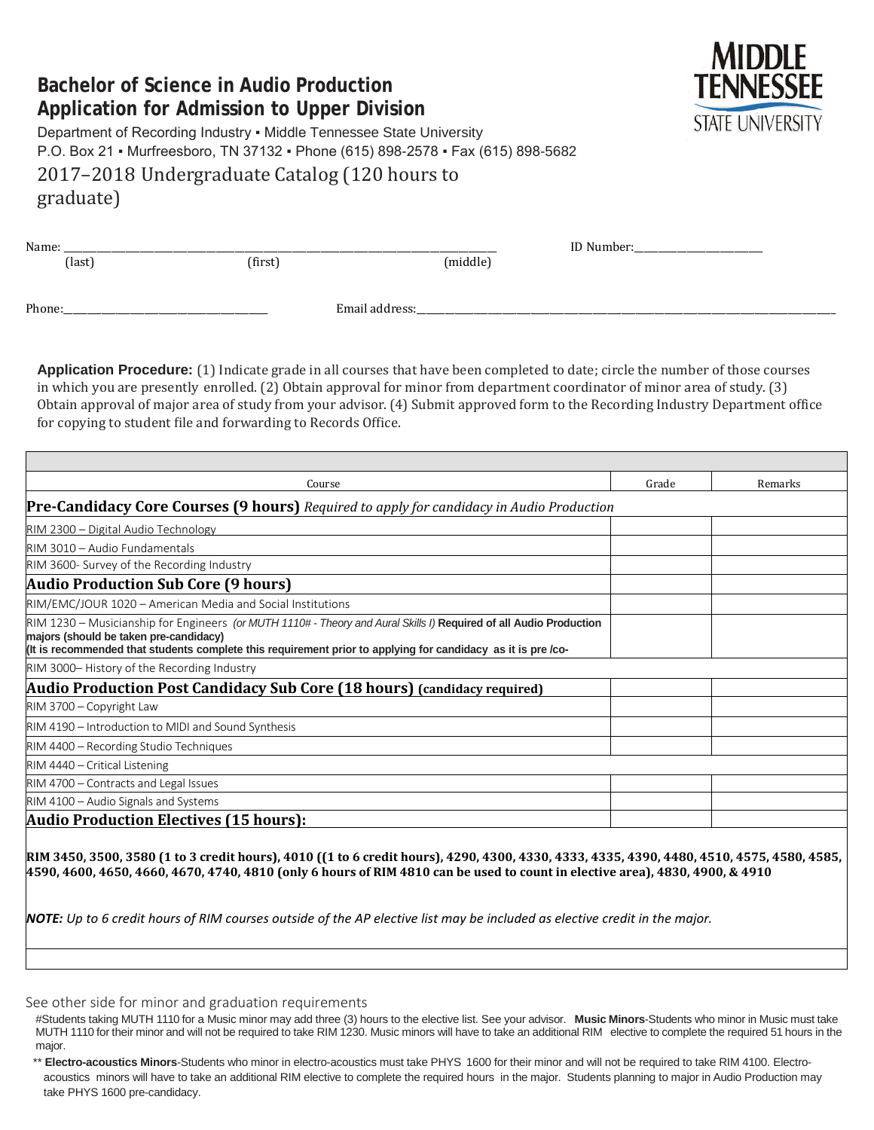# **Bachelor of Science in Audio Production Application for Admission to Upper Division**



Department of Recording Industry ▪ Middle Tennessee State University P.O. Box 21 ▪ Murfreesboro, TN 37132 ▪ Phone (615) 898-2578 ▪ Fax (615) 898-5682 2017–2018 Undergraduate Catalog (120 hours to graduate)

| Name:  |        |         |                | ID Number: |
|--------|--------|---------|----------------|------------|
|        | (last) | (first) | (middle)       |            |
|        |        |         |                |            |
|        |        |         |                |            |
| Phone: |        |         | Email address: |            |
|        |        |         |                |            |

**Application Procedure:** (1) Indicate grade in all courses that have been completed to date; circle the number of those courses in which you are presently enrolled. (2) Obtain approval for minor from department coordinator of minor area of study. (3) Obtain approval of major area of study from your advisor. (4) Submit approved form to the Recording Industry Department office for copying to student file and forwarding to Records Office.

| Course                                                                                                                                                                                                                                                                      | Grade | Remarks |
|-----------------------------------------------------------------------------------------------------------------------------------------------------------------------------------------------------------------------------------------------------------------------------|-------|---------|
| Pre-Candidacy Core Courses (9 hours) Required to apply for candidacy in Audio Production                                                                                                                                                                                    |       |         |
| RIM 2300 – Digital Audio Technology                                                                                                                                                                                                                                         |       |         |
| RIM 3010 - Audio Fundamentals                                                                                                                                                                                                                                               |       |         |
| RIM 3600- Survey of the Recording Industry                                                                                                                                                                                                                                  |       |         |
| <b>Audio Production Sub Core (9 hours)</b>                                                                                                                                                                                                                                  |       |         |
| RIM/EMC/JOUR 1020 - American Media and Social Institutions                                                                                                                                                                                                                  |       |         |
| RIM 1230 – Musicianship for Engineers (or MUTH 1110# - Theory and Aural Skills I) Required of all Audio Production<br>majors (should be taken pre-candidacy)<br>(It is recommended that students complete this requirement prior to applying for candidacy as it is pre/co- |       |         |
| RIM 3000-History of the Recording Industry                                                                                                                                                                                                                                  |       |         |
| <b>Audio Production Post Candidacy Sub Core (18 hours) (candidacy required)</b>                                                                                                                                                                                             |       |         |
| RIM 3700 - Copyright Law                                                                                                                                                                                                                                                    |       |         |
| RIM 4190 - Introduction to MIDI and Sound Synthesis                                                                                                                                                                                                                         |       |         |
| RIM 4400 - Recording Studio Techniques                                                                                                                                                                                                                                      |       |         |
| RIM 4440 – Critical Listening                                                                                                                                                                                                                                               |       |         |
| RIM 4700 - Contracts and Legal Issues                                                                                                                                                                                                                                       |       |         |
| RIM 4100 - Audio Signals and Systems                                                                                                                                                                                                                                        |       |         |
| <b>Audio Production Electives (15 hours):</b>                                                                                                                                                                                                                               |       |         |

**RIM 3450, 3500, 3580 (1 to 3 credit hours), 4010 ((1 to 6 credit hours), 4290, 4300, 4330, 4333, 4335, 4390, 4480, 4510, 4575, 4580, 4585, 4590, 4600, 4650, 4660, 4670, 4740, 4810 (only 6 hours of RIM 4810 can be used to count in elective area), 4830, 4900, & 4910** 

*NOTE: Up to 6 credit hours of RIM courses outside of the AP elective list may be included as elective credit in the major.*

See other side for minor and graduation requirements

#Students taking MUTH 1110 for a Music minor may add three (3) hours to the elective list. See your advisor. **Music Minors**-Students who minor in Music must take MUTH 1110 for their minor and will not be required to take RIM 1230. Music minors will have to take an additional RIM elective to complete the required 51 hours in the major.

\*\* **Electro-acoustics Minors**-Students who minor in electro-acoustics must take PHYS 1600 for their minor and will not be required to take RIM 4100. Electroacoustics minors will have to take an additional RIM elective to complete the required hours in the major. Students planning to major in Audio Production may take PHYS 1600 pre-candidacy.